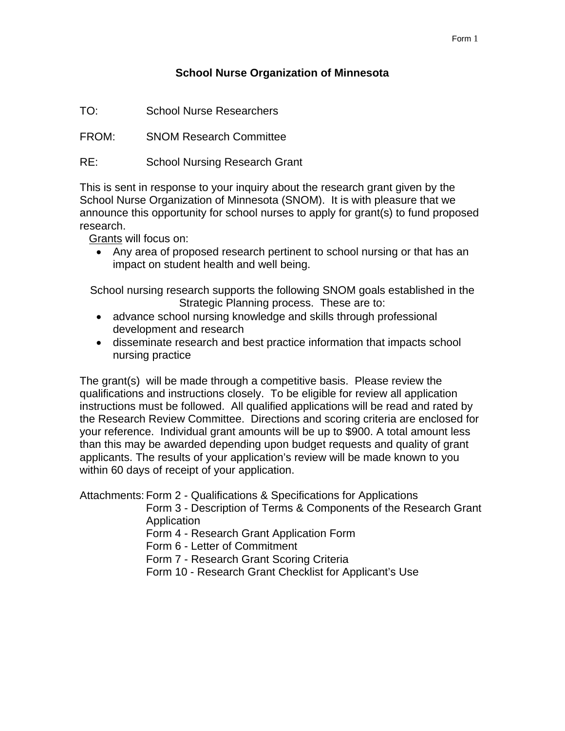# **School Nurse Organization of Minnesota**

TO: School Nurse Researchers

FROM: SNOM Research Committee

RE: School Nursing Research Grant

This is sent in response to your inquiry about the research grant given by the School Nurse Organization of Minnesota (SNOM). It is with pleasure that we announce this opportunity for school nurses to apply for grant(s) to fund proposed research.

Grants will focus on:

• Any area of proposed research pertinent to school nursing or that has an impact on student health and well being.

School nursing research supports the following SNOM goals established in the Strategic Planning process. These are to:

- advance school nursing knowledge and skills through professional development and research
- disseminate research and best practice information that impacts school nursing practice

The grant(s) will be made through a competitive basis. Please review the qualifications and instructions closely. To be eligible for review all application instructions must be followed. All qualified applications will be read and rated by the Research Review Committee. Directions and scoring criteria are enclosed for your reference. Individual grant amounts will be up to \$900. A total amount less than this may be awarded depending upon budget requests and quality of grant applicants. The results of your application's review will be made known to you within 60 days of receipt of your application.

Attachments: Form 2 - Qualifications & Specifications for Applications

Form 3 - Description of Terms & Components of the Research Grant **Application** 

Form 4 - Research Grant Application Form

Form 6 - Letter of Commitment

Form 7 - Research Grant Scoring Criteria

Form 10 - Research Grant Checklist for Applicant's Use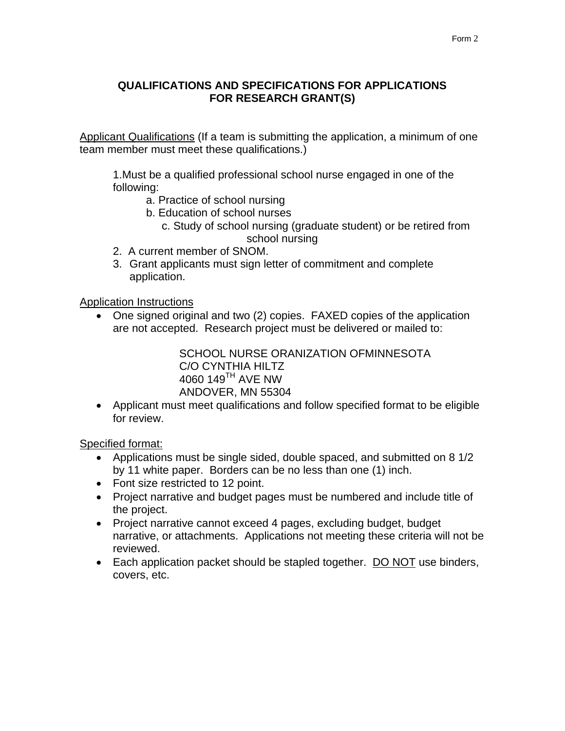# **QUALIFICATIONS AND SPECIFICATIONS FOR APPLICATIONS FOR RESEARCH GRANT(S)**

Applicant Qualifications (If a team is submitting the application, a minimum of one team member must meet these qualifications.)

1.Must be a qualified professional school nurse engaged in one of the following:

- a. Practice of school nursing
- b. Education of school nurses
	- c. Study of school nursing (graduate student) or be retired from school nursing
- 2. A current member of SNOM.
- 3. Grant applicants must sign letter of commitment and complete application.

Application Instructions

• One signed original and two (2) copies. FAXED copies of the application are not accepted. Research project must be delivered or mailed to:

> SCHOOL NURSE ORANIZATION OFMINNESOTA C/O CYNTHIA HILTZ 4060 149TH AVE NW ANDOVER, MN 55304

• Applicant must meet qualifications and follow specified format to be eligible for review.

Specified format:

- Applications must be single sided, double spaced, and submitted on 8 1/2 by 11 white paper. Borders can be no less than one (1) inch.
- Font size restricted to 12 point.
- Project narrative and budget pages must be numbered and include title of the project.
- Project narrative cannot exceed 4 pages, excluding budget, budget narrative, or attachments. Applications not meeting these criteria will not be reviewed.
- Each application packet should be stapled together. DO NOT use binders, covers, etc.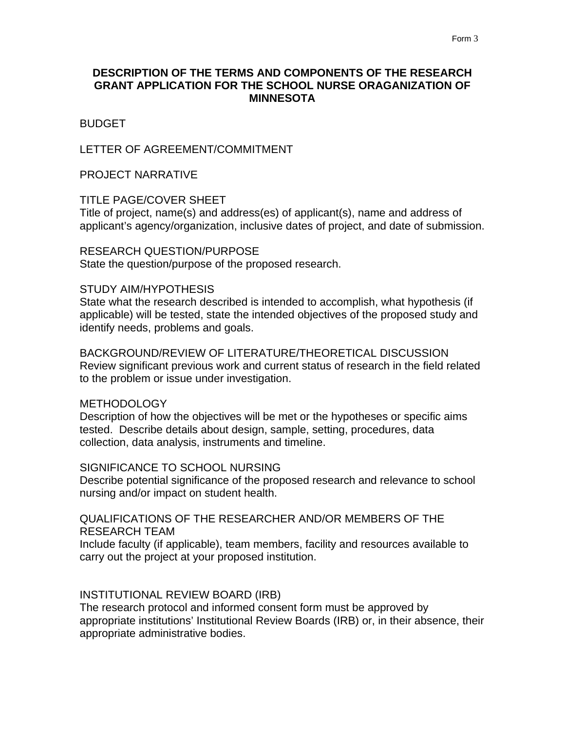## **DESCRIPTION OF THE TERMS AND COMPONENTS OF THE RESEARCH GRANT APPLICATION FOR THE SCHOOL NURSE ORAGANIZATION OF MINNESOTA**

### **BUDGET**

### LETTER OF AGREEMENT/COMMITMENT

#### PROJECT NARRATIVE

#### TITLE PAGE/COVER SHEET

Title of project, name(s) and address(es) of applicant(s), name and address of applicant's agency/organization, inclusive dates of project, and date of submission.

### RESEARCH QUESTION/PURPOSE

State the question/purpose of the proposed research.

### STUDY AIM/HYPOTHESIS

State what the research described is intended to accomplish, what hypothesis (if applicable) will be tested, state the intended objectives of the proposed study and identify needs, problems and goals.

BACKGROUND/REVIEW OF LITERATURE/THEORETICAL DISCUSSION Review significant previous work and current status of research in the field related to the problem or issue under investigation.

#### METHODOLOGY

Description of how the objectives will be met or the hypotheses or specific aims tested. Describe details about design, sample, setting, procedures, data collection, data analysis, instruments and timeline.

## SIGNIFICANCE TO SCHOOL NURSING

Describe potential significance of the proposed research and relevance to school nursing and/or impact on student health.

### QUALIFICATIONS OF THE RESEARCHER AND/OR MEMBERS OF THE RESEARCH TEAM

Include faculty (if applicable), team members, facility and resources available to carry out the project at your proposed institution.

#### INSTITUTIONAL REVIEW BOARD (IRB)

The research protocol and informed consent form must be approved by appropriate institutions' Institutional Review Boards (IRB) or, in their absence, their appropriate administrative bodies.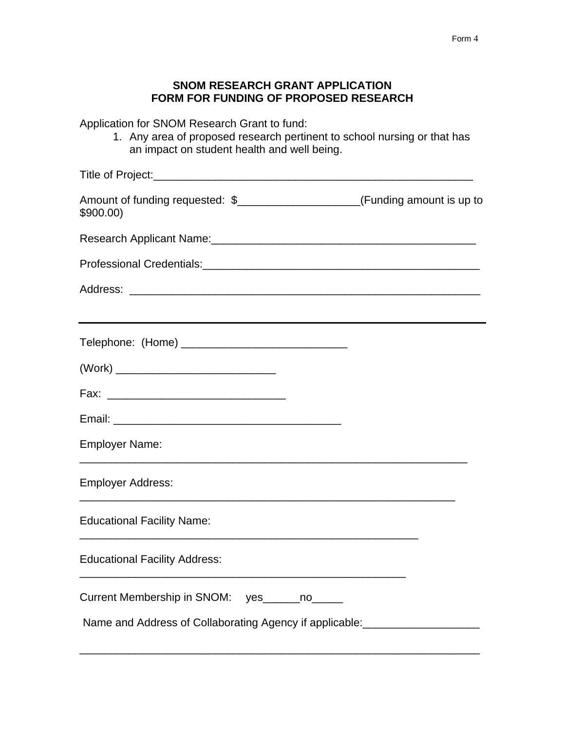# **SNOM RESEARCH GRANT APPLICATION FORM FOR FUNDING OF PROPOSED RESEARCH**

Application for SNOM Research Grant to fund:

1. Any area of proposed research pertinent to school nursing or that has an impact on student health and well being.

| Amount of funding requested: \$_____________________(Funding amount is up to<br>\$900.00 |                                                                                                                      |  |
|------------------------------------------------------------------------------------------|----------------------------------------------------------------------------------------------------------------------|--|
| Research Applicant Name: Campaign Assembly Presearch Applicant Name:                     |                                                                                                                      |  |
|                                                                                          |                                                                                                                      |  |
|                                                                                          |                                                                                                                      |  |
| Telephone: (Home) ________________________________                                       |                                                                                                                      |  |
| (Work) ___________________________________                                               |                                                                                                                      |  |
|                                                                                          |                                                                                                                      |  |
|                                                                                          |                                                                                                                      |  |
| <b>Employer Name:</b>                                                                    |                                                                                                                      |  |
| <b>Employer Address:</b>                                                                 |                                                                                                                      |  |
| <b>Educational Facility Name:</b>                                                        |                                                                                                                      |  |
| <b>Educational Facility Address:</b>                                                     | <u> 1989 - Johann Barn, mars eta bainar eta bainar eta horresta eta baina eta horresta eta baina eta baina eta h</u> |  |
| Current Membership in SNOM: yes_____no_____                                              |                                                                                                                      |  |
| Name and Address of Collaborating Agency if applicable: ________________________         |                                                                                                                      |  |

\_\_\_\_\_\_\_\_\_\_\_\_\_\_\_\_\_\_\_\_\_\_\_\_\_\_\_\_\_\_\_\_\_\_\_\_\_\_\_\_\_\_\_\_\_\_\_\_\_\_\_\_\_\_\_\_\_\_\_\_\_\_\_\_\_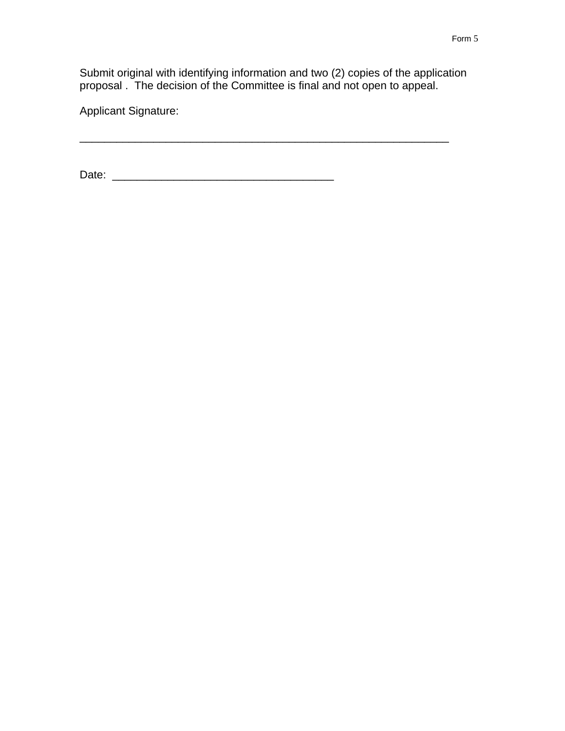Submit original with identifying information and two (2) copies of the application proposal . The decision of the Committee is final and not open to appeal.

\_\_\_\_\_\_\_\_\_\_\_\_\_\_\_\_\_\_\_\_\_\_\_\_\_\_\_\_\_\_\_\_\_\_\_\_\_\_\_\_\_\_\_\_\_\_\_\_\_\_\_\_\_\_\_\_\_\_\_\_

Applicant Signature:

Date: \_\_\_\_\_\_\_\_\_\_\_\_\_\_\_\_\_\_\_\_\_\_\_\_\_\_\_\_\_\_\_\_\_\_\_\_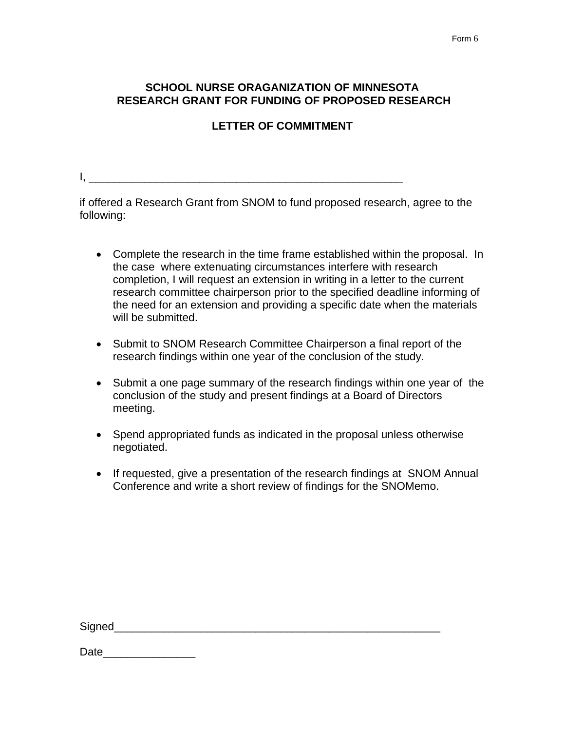# **SCHOOL NURSE ORAGANIZATION OF MINNESOTA RESEARCH GRANT FOR FUNDING OF PROPOSED RESEARCH**

# **LETTER OF COMMITMENT**

 $I_{\star}$  and the contract of the contract of the contract of the contract of the contract of the contract of the contract of the contract of the contract of the contract of the contract of the contract of the contract of t

if offered a Research Grant from SNOM to fund proposed research, agree to the following:

- Complete the research in the time frame established within the proposal. In the case where extenuating circumstances interfere with research completion, I will request an extension in writing in a letter to the current research committee chairperson prior to the specified deadline informing of the need for an extension and providing a specific date when the materials will be submitted.
- Submit to SNOM Research Committee Chairperson a final report of the research findings within one year of the conclusion of the study.
- Submit a one page summary of the research findings within one year of the conclusion of the study and present findings at a Board of Directors meeting.
- Spend appropriated funds as indicated in the proposal unless otherwise negotiated.
- If requested, give a presentation of the research findings at SNOM Annual Conference and write a short review of findings for the SNOMemo.

Date **Date**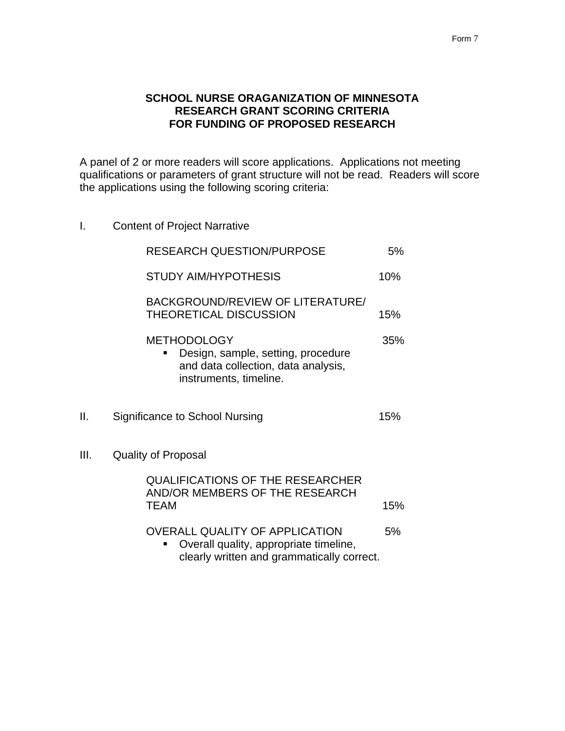## **SCHOOL NURSE ORAGANIZATION OF MINNESOTA RESEARCH GRANT SCORING CRITERIA FOR FUNDING OF PROPOSED RESEARCH**

A panel of 2 or more readers will score applications. Applications not meeting qualifications or parameters of grant structure will not be read. Readers will score the applications using the following scoring criteria:

I. Content of Project Narrative

|      | <b>RESEARCH QUESTION/PURPOSE</b>                                                                                              |     |  |  |  |  |
|------|-------------------------------------------------------------------------------------------------------------------------------|-----|--|--|--|--|
|      | <b>STUDY AIM/HYPOTHESIS</b>                                                                                                   |     |  |  |  |  |
|      | BACKGROUND/REVIEW OF LITERATURE/<br><b>THEORETICAL DISCUSSION</b>                                                             |     |  |  |  |  |
|      | <b>METHODOLOGY</b><br>Design, sample, setting, procedure<br>and data collection, data analysis,<br>instruments, timeline.     | 35% |  |  |  |  |
| II.  | Significance to School Nursing                                                                                                | 15% |  |  |  |  |
| III. | <b>Quality of Proposal</b>                                                                                                    |     |  |  |  |  |
|      | <b>QUALIFICATIONS OF THE RESEARCHER</b><br>AND/OR MEMBERS OF THE RESEARCH<br><b>TEAM</b>                                      | 15% |  |  |  |  |
|      | <b>OVERALL QUALITY OF APPLICATION</b><br>Overall quality, appropriate timeline,<br>clearly written and grammatically correct. | 5%  |  |  |  |  |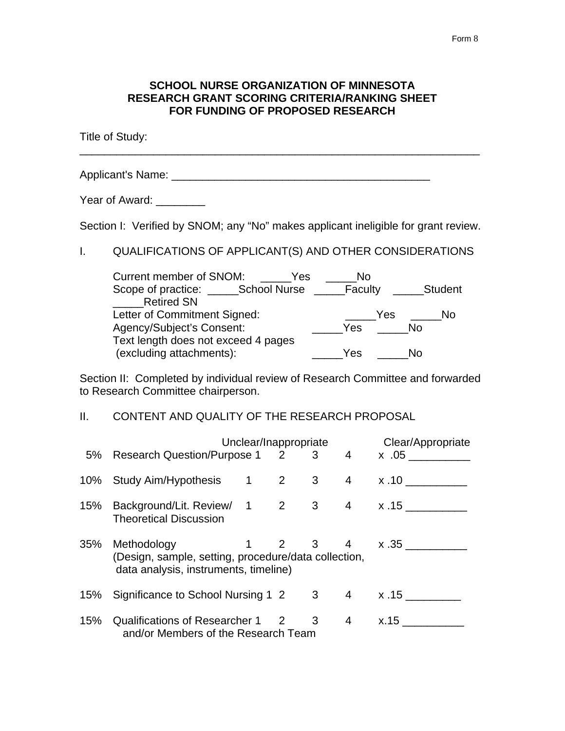### **SCHOOL NURSE ORGANIZATION OF MINNESOTA RESEARCH GRANT SCORING CRITERIA/RANKING SHEET FOR FUNDING OF PROPOSED RESEARCH**

\_\_\_\_\_\_\_\_\_\_\_\_\_\_\_\_\_\_\_\_\_\_\_\_\_\_\_\_\_\_\_\_\_\_\_\_\_\_\_\_\_\_\_\_\_\_\_\_\_\_\_\_\_\_\_\_\_\_\_\_\_\_\_\_\_

Title of Study:

Applicant's Name: \_\_\_\_\_\_\_\_\_\_\_\_\_\_\_\_\_\_\_\_\_\_\_\_\_\_\_\_\_\_\_\_\_\_\_\_\_\_\_\_\_\_

Year of Award: \_\_\_\_\_\_\_\_

Section I: Verified by SNOM; any "No" makes applicant ineligible for grant review.

I. QUALIFICATIONS OF APPLICANT(S) AND OTHER CONSIDERATIONS

| <b>Current member of SNOM:</b><br>Yes | No       |                |
|---------------------------------------|----------|----------------|
| Scope of practice:<br>School Nurse    | _Faculty | <b>Student</b> |
| <b>Retired SN</b>                     |          |                |
| Letter of Commitment Signed:          | Yes      | Nο             |
| Agency/Subject's Consent:             | Yes      | No             |
| Text length does not exceed 4 pages   |          |                |
| (excluding attachments):              | Yes      | N٥             |

Section II: Completed by individual review of Research Committee and forwarded to Research Committee chairperson.

## II. CONTENT AND QUALITY OF THE RESEARCH PROPOSAL

|     | Unclear/Inappropriate                                                                                                                   | Clear/Appropriate |     |  |                |      |
|-----|-----------------------------------------------------------------------------------------------------------------------------------------|-------------------|-----|--|----------------|------|
|     | 5% Research Question/Purpose 1 2 3 4 x .05                                                                                              |                   |     |  |                |      |
|     | 10% Study Aim/Hypothesis 1 2 3                                                                                                          |                   |     |  | $\overline{4}$ | x.10 |
|     | 15% Background/Lit. Review/ 1 2 3 4 x.15<br><b>Theoretical Discussion</b>                                                               |                   |     |  |                |      |
| 35% | Methodology<br>$1 \t2 \t3 \t4 \t x.35$<br>(Design, sample, setting, procedure/data collection,<br>data analysis, instruments, timeline) |                   |     |  |                |      |
|     | 15% Significance to School Nursing 1 2 3 4 x.15                                                                                         |                   |     |  |                |      |
| 15% | Qualifications of Researcher 1<br>and/or Members of the Research Team                                                                   |                   | 2 3 |  | $\overline{4}$ | x.15 |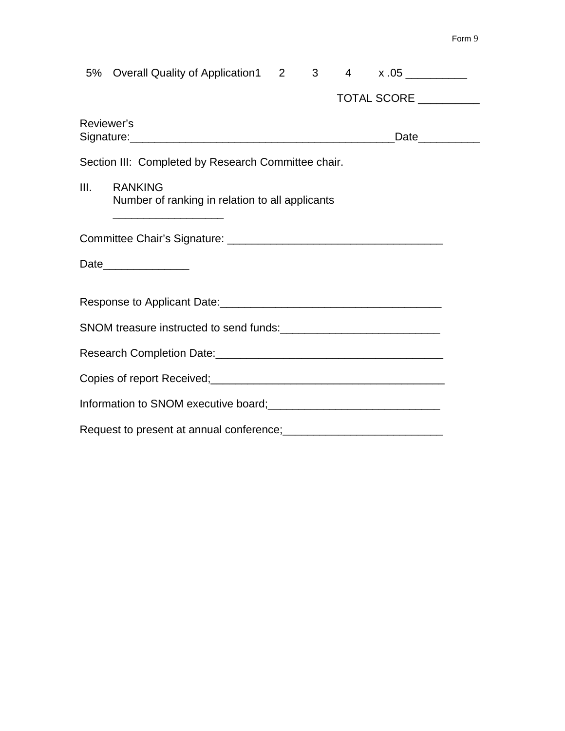|      | 5% Overall Quality of Application1 2                                                |  | $3^{\circ}$ |  | $4 \times .05$ |  |  |  |
|------|-------------------------------------------------------------------------------------|--|-------------|--|----------------|--|--|--|
|      |                                                                                     |  |             |  | TOTAL SCORE    |  |  |  |
|      | Reviewer's                                                                          |  |             |  | Date__________ |  |  |  |
|      | Section III: Completed by Research Committee chair.                                 |  |             |  |                |  |  |  |
| III. | <b>RANKING</b><br>Number of ranking in relation to all applicants                   |  |             |  |                |  |  |  |
|      |                                                                                     |  |             |  |                |  |  |  |
|      | Date________________                                                                |  |             |  |                |  |  |  |
|      |                                                                                     |  |             |  |                |  |  |  |
|      |                                                                                     |  |             |  |                |  |  |  |
|      |                                                                                     |  |             |  |                |  |  |  |
|      |                                                                                     |  |             |  |                |  |  |  |
|      | Information to SNOM executive board;<br><u>Information</u> to SNOM executive board; |  |             |  |                |  |  |  |
|      |                                                                                     |  |             |  |                |  |  |  |